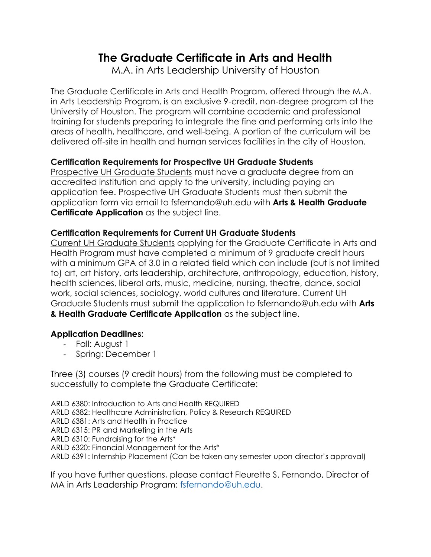# **The Graduate Certificate in Arts and Health**

M.A. in Arts Leadership University of Houston

The Graduate Certificate in Arts and Health Program, offered through the M.A. in Arts Leadership Program, is an exclusive 9-credit, non-degree program at the University of Houston. The program will combine academic and professional training for students preparing to integrate the fine and performing arts into the areas of health, healthcare, and well-being. A portion of the curriculum will be delivered off-site in health and human services facilities in the city of Houston.

### **Certification Requirements for Prospective UH Graduate Students**

Prospective UH Graduate Students must have a graduate degree from an accredited institution and apply to the university, including paying an application fee. Prospective UH Graduate Students must then submit the application form via email to fsfernando@uh.edu with **Arts & Health Graduate Certificate Application** as the subject line.

### **Certification Requirements for Current UH Graduate Students**

Current UH Graduate Students applying for the Graduate Certificate in Arts and Health Program must have completed a minimum of 9 graduate credit hours with a minimum GPA of 3.0 in a related field which can include (but is not limited to) art, art history, arts leadership, architecture, anthropology, education, history, health sciences, liberal arts, music, medicine, nursing, theatre, dance, social work, social sciences, sociology, world cultures and literature. Current UH Graduate Students must submit the application to fsfernando@uh.edu with **Arts & Health Graduate Certificate Application** as the subject line.

### **Application Deadlines:**

- Fall: August 1
- Spring: December 1

Three (3) courses (9 credit hours) from the following must be completed to successfully to complete the Graduate Certificate:

ARLD 6380: Introduction to Arts and Health REQUIRED ARLD 6382: Healthcare Administration, Policy & Research REQUIRED ARLD 6381: Arts and Health in Practice ARLD 6315: PR and Marketing in the Arts ARLD 6310: Fundraising for the Arts\* ARLD 6320: Financial Management for the Arts\* ARLD 6391: Internship Placement (Can be taken any semester upon director's approval)

If you have further questions, please contact Fleurette S. Fernando, Director of MA in Arts Leadership Program: fsfernando@uh.edu.